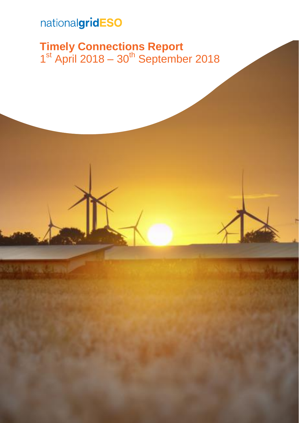# nationalgridESO

2 林业家园

## **Timely Connections Report**  $1<sup>st</sup>$  April 2018 –  $30<sup>th</sup>$  September 2018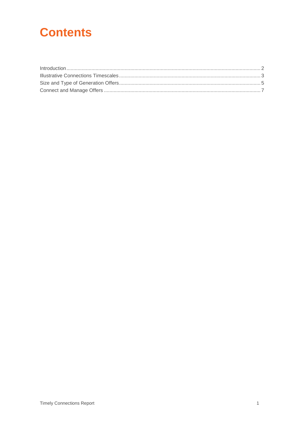## **Contents**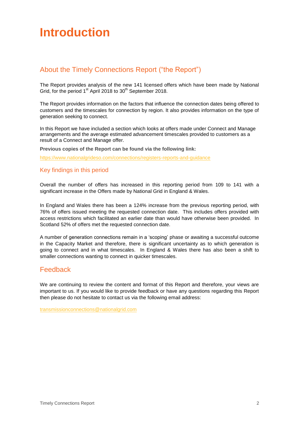## <span id="page-2-0"></span>**Introduction**

## About the Timely Connections Report ("the Report")

The Report provides analysis of the new 141 licensed offers which have been made by National Grid, for the period 1<sup>st</sup> April 2018 to 30<sup>th</sup> September 2018.

The Report provides information on the factors that influence the connection dates being offered to customers and the timescales for connection by region. It also provides information on the type of generation seeking to connect.

In this Report we have included a section which looks at offers made under Connect and Manage arrangements and the average estimated advancement timescales provided to customers as a result of a Connect and Manage offer.

**Previous copies of the Report can be found via the following link:**

<https://www.nationalgrideso.com/connections/registers-reports-and-guidance>

#### Key findings in this period

Overall the number of offers has increased in this reporting period from 109 to 141 with a significant increase in the Offers made by National Grid in England & Wales.

In England and Wales there has been a 124% increase from the previous reporting period, with 76% of offers issued meeting the requested connection date. This includes offers provided with access restrictions which facilitated an earlier date than would have otherwise been provided. In Scotland 52% of offers met the requested connection date.

A number of generation connections remain in a 'scoping' phase or awaiting a successful outcome in the Capacity Market and therefore, there is significant uncertainty as to which generation is going to connect and in what timescales. In England & Wales there has also been a shift to smaller connections wanting to connect in quicker timescales.

#### Feedback

We are continuing to review the content and format of this Report and therefore, your views are important to us. If you would like to provide feedback or have any questions regarding this Report then please do not hesitate to contact us via the following email address:

[transmissionconnections@nationalgrid.com](mailto:transmissionconnections@nationalgrid.com)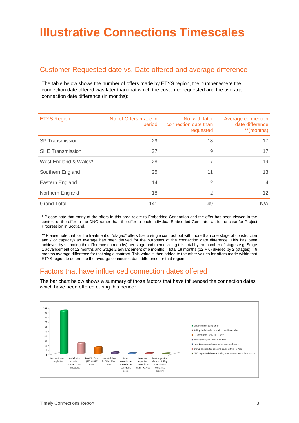## <span id="page-3-0"></span>**Illustrative Connections Timescales**

### Customer Requested date vs. Date offered and average difference

The table below shows the number of offers made by ETYS region, the number where the connection date offered was later than that which the customer requested and the average connection date difference (in months):

| <b>ETYS Region</b>      | No. of Offers made in<br>period | No. with later<br>connection date than<br>requested | Average connection<br>date difference<br>**(months) |
|-------------------------|---------------------------------|-----------------------------------------------------|-----------------------------------------------------|
| <b>SP Transmission</b>  | 29                              | 18                                                  | 17                                                  |
| <b>SHE Transmission</b> | 27                              | 9                                                   | 17                                                  |
| West England & Wales*   | 28                              | 7                                                   | 19                                                  |
| Southern England        | 25                              | 11                                                  | 13                                                  |
| Eastern England         | 14                              | 2                                                   | $\overline{4}$                                      |
| Northern England        | 18                              | 2                                                   | 12                                                  |
| <b>Grand Total</b>      | 141                             | 49                                                  | N/A                                                 |

\* Please note that many of the offers in this area relate to Embedded Generation and the offer has been viewed in the context of the offer to the DNO rather than the offer to each individual Embedded Generator as is the case for Project Progression in Scotland.

\*\* Please note that for the treatment of "staged" offers (i.e. a single contract but with more than one stage of construction and / or capacity) an average has been derived for the purposes of the connection date difference. This has been achieved by summing the difference (in months) per stage and then dividing this total by the number of stages e.g. Stage 1 advancement of 12 months and Stage 2 advancement of 6 months = total 18 months (12 + 6) divided by 2 (stages) = 9 months average difference for that single contract. This value is then added to the other values for offers made within that ETYS region to determine the average connection date difference for that region.

### Factors that have influenced connection dates offered

The bar chart below shows a summary of those factors that have influenced the connection dates which have been offered during this period:

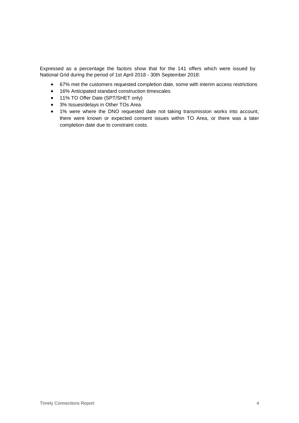Expressed as a percentage the factors show that for the 141 offers which were issued by National Grid during the period of 1st April 2018 - 30th September 2018:

- 67% met the customers requested completion date, some with interim access restrictions
- 16% Anticipated standard construction timescales
- 11% TO Offer Date (SPT/SHET only)
- 3% Issues/delays in Other TOs Area
- 1% were where the DNO requested date not taking transmission works into account, there were known or expected consent issues within TO Area, or there was a later completion date due to constraint costs.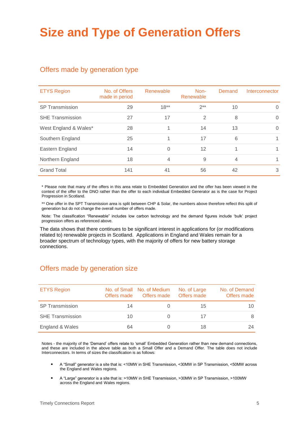# <span id="page-5-0"></span>**Size and Type of Generation Offers**

### Offers made by generation type

| <b>ETYS Region</b><br>No. of Offers<br>Renewable<br>Non-<br>Demand<br>made in period<br>Renewable<br>$18**$<br>$2**$<br><b>SP Transmission</b><br>29<br>10<br>8<br><b>SHE Transmission</b><br>2<br>27<br>17<br>West England & Wales*<br>13<br>28<br>14<br>1<br>6<br>17<br>Southern England<br>25<br>14<br>12<br>Eastern England<br>$\Omega$<br>1<br>4<br>9<br>$\overline{4}$<br>18<br>Northern England<br><b>Grand Total</b><br>141<br>42<br>41<br>56 |  |  |                |
|-------------------------------------------------------------------------------------------------------------------------------------------------------------------------------------------------------------------------------------------------------------------------------------------------------------------------------------------------------------------------------------------------------------------------------------------------------|--|--|----------------|
|                                                                                                                                                                                                                                                                                                                                                                                                                                                       |  |  | Interconnector |
|                                                                                                                                                                                                                                                                                                                                                                                                                                                       |  |  | 0              |
|                                                                                                                                                                                                                                                                                                                                                                                                                                                       |  |  | $\Omega$       |
|                                                                                                                                                                                                                                                                                                                                                                                                                                                       |  |  | $\Omega$       |
|                                                                                                                                                                                                                                                                                                                                                                                                                                                       |  |  | 1              |
|                                                                                                                                                                                                                                                                                                                                                                                                                                                       |  |  |                |
|                                                                                                                                                                                                                                                                                                                                                                                                                                                       |  |  | 1              |
|                                                                                                                                                                                                                                                                                                                                                                                                                                                       |  |  | 3              |

\* Please note that many of the offers in this area relate to Embedded Generation and the offer has been viewed in the context of the offer to the DNO rather than the offer to each individual Embedded Generator as is the case for Project Progression in Scotland.

\*\* One offer in the SPT Transmission area is split between CHP & Solar, the numbers above therefore reflect this split of generation but do not change the overall number of offers made.

Note: The classification "Renewable" includes low carbon technology and the demand figures include 'bulk' project progression offers as referenced above.

The data shows that there continues to be significant interest in applications for (or modifications related to) renewable projects in Scotland. Applications in England and Wales remain for a broader spectrum of technology types, with the majority of offers for new battery storage connections.

### Offers made by generation size

| <b>ETYS Region</b>      | Offers made | No. of Small No. of Medium<br>Offers made | No. of Large<br>Offers made | No. of Demand<br>Offers made |
|-------------------------|-------------|-------------------------------------------|-----------------------------|------------------------------|
| <b>SP Transmission</b>  | 14          |                                           | 15                          | 10                           |
| <b>SHE Transmission</b> | 10          |                                           | 17                          | 8                            |
| England & Wales         | 64          |                                           | 18                          | 24.                          |

Notes - the majority of the 'Demand' offers relate to 'small' Embedded Generation rather than new demand connections, and these are included in the above table as both a Small Offer and a Demand Offer. The table does not include Interconnectors. In terms of sizes the classification is as follows:

- A "Small" generator is a site that is: <10MW in SHE Transmission, <30MW in SP Transmission, <50MW across the England and Wales regions.
- A "Large" generator is a site that is: >10MW in SHE Transmission, >30MW in SP Transmission, >100MW across the England and Wales regions.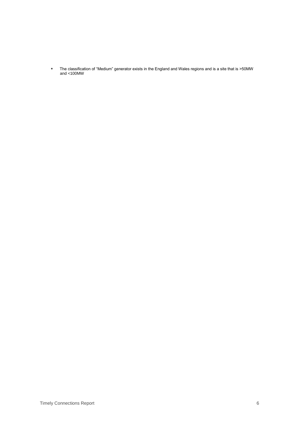• The classification of "Medium" generator exists in the England and Wales regions and is a site that is >50MW and <100MW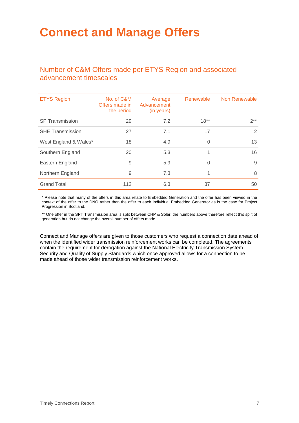## <span id="page-7-0"></span>**Connect and Manage Offers**

### Number of C&M Offers made per ETYS Region and associated advancement timescales

| <b>ETYS Region</b>      | No. of C&M<br>Offers made in<br>the period | Average<br>Advancement<br>(in years) | Renewable | Non Renewable |
|-------------------------|--------------------------------------------|--------------------------------------|-----------|---------------|
| <b>SP Transmission</b>  | 29                                         | 7.2                                  | $18***$   | $2**$         |
| <b>SHE Transmission</b> | 27                                         | 7.1                                  | 17        | 2             |
| West England & Wales*   | 18                                         | 4.9                                  | $\Omega$  | 13            |
| Southern England        | 20                                         | 5.3                                  | 1         | 16            |
| Eastern England         | 9                                          | 5.9                                  | $\Omega$  | 9             |
| Northern England        | 9                                          | 7.3                                  | 1         | 8             |
| <b>Grand Total</b>      | 112                                        | 6.3                                  | 37        | 50            |

\* Please note that many of the offers in this area relate to Embedded Generation and the offer has been viewed in the context of the offer to the DNO rather than the offer to each individual Embedded Generator as is the case for Project Progression in Scotland.

\*\* One offer in the SPT Transmission area is split between CHP & Solar, the numbers above therefore reflect this split of generation but do not change the overall number of offers made.

Connect and Manage offers are given to those customers who request a connection date ahead of when the identified wider transmission reinforcement works can be completed. The agreements contain the requirement for derogation against the National Electricity Transmission System Security and Quality of Supply Standards which once approved allows for a connection to be made ahead of those wider transmission reinforcement works.